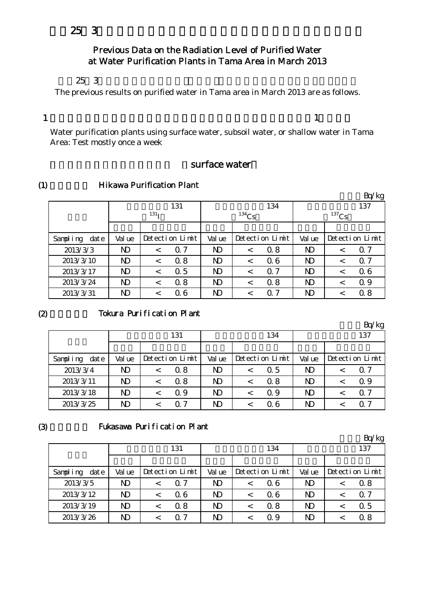# Previous Data on the Radiation Level of Purified Water at Water Purification Plants in Tama Area in March 2013

#### $253$

The previous results on purified water in Tama area in March 2013 are as follows.

1

 $\bm{1}$ 

Water purification plants using surface water, subsoil water, or shallow water in Tama Area: Test mostly once a week

## surface water

#### (1) **Hikawa Purification Plant**

|                  |              |                  |                 |                |          |                 |                |          | Bq/kg           |
|------------------|--------------|------------------|-----------------|----------------|----------|-----------------|----------------|----------|-----------------|
|                  |              |                  | 131             |                |          | 134             |                |          | 137             |
|                  |              | 131 <sub>T</sub> |                 |                | $134$ Cs |                 |                | $137$ Cs |                 |
|                  |              |                  |                 |                |          |                 |                |          |                 |
| Sampling<br>date | Val ue       |                  | Detection Limit | Val ue         |          | Detection Limit | Val ue         |          | Detection Limit |
| 2013/3/3         | $\mathbf{D}$ | $\,<\,$          | $\alpha$ 7      | ND             | $\,<\,$  | 0.8             | $\mathbf{D}$   |          | $\alpha$ 7      |
| 2013/3/10        | $\mathbf{D}$ |                  | 0.8             | ND             | $\,<\,$  | 06              | N <sub>D</sub> |          | 0.7             |
| 2013/3/17        | $\mathbf{D}$ | $\,<\,$          | $\Omega$ 5      | N <sub>D</sub> | $\,<\,$  | $\alpha$ 7      | N <sub>D</sub> |          | 06              |
| 2013/3/24        | $\mathbf{D}$ |                  | 0.8             | N <sub>D</sub> | $\,<\,$  | 0.8             | $\mathbf{D}$   |          | 0.9             |
| 2013/3/31        | $\mathbf N$  |                  | 06              | ND             | <        | 0 7             | N <sub>D</sub> |          | 0.8             |

#### $(2)$

### Tokura Purification Plant

|                  |        |         |                 |        |                 |              | Bq/kg           |
|------------------|--------|---------|-----------------|--------|-----------------|--------------|-----------------|
|                  |        |         | 131             |        | 134             |              | 137             |
|                  |        |         |                 |        |                 |              |                 |
| date<br>Sampling | Val ue |         | Detection Limit | Val ue | Detection Limit | Val ue       | Detection Limit |
| 2013/3/4         | ND     | $\,<\,$ | 0.8             | ND.    | 0.5             | ND           | 0.7             |
| 2013/3/11        | ND     | <       | 0.8             | ND     | 0.8             | ND.          | 0.9             |
| 2013/3/18        | ND     |         | $\Omega$ 9      | N)     | Q 9             | $\mathbf{D}$ | Q <sub>0</sub>  |
| 2013/3/25        | ND     |         | 0 7             | ND     | Q 6             | $\mathbf N$  | 0.7             |

#### (3)

## Fukasawa Purification Plant

|                  |                |         |                 |              |         |                 |                | Bq/kg           |
|------------------|----------------|---------|-----------------|--------------|---------|-----------------|----------------|-----------------|
|                  |                |         | 131             |              |         | 134             |                | 137             |
|                  |                |         |                 |              |         |                 |                |                 |
| Sampling<br>date | Val ue         |         | Detection Limit | Val ue       |         | Detection Limit | Val ue         | Detection Limit |
| 2013/3/5         | N <sub>D</sub> |         | 0.7             | ND.          |         | 06              | $\mathbf{D}$   | 0.8             |
| 2013/3/12        | N <sub>D</sub> |         | 06              | $\mathbf{D}$ |         | 06              | N <sub>D</sub> | $\Omega$ 7      |
| 2013/3/19        | N <sub>D</sub> | $\,<\,$ | 0.8             | $\mathbf{D}$ | $\,<\,$ | 0.8             | $\mathbf{D}$   | $\Omega$ 5      |
| 2013/3/26        | N)             |         | 0 7             | ND           |         | Q 9             | ND             | 0.8             |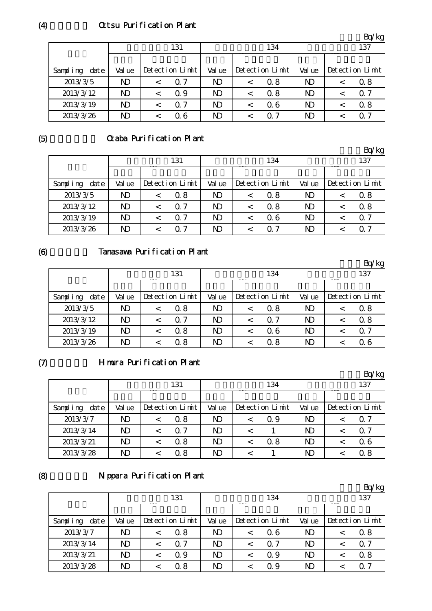# Ottsu Purification Plant

|                   |                |                 |                |         |                 |                | Bq/kg           |
|-------------------|----------------|-----------------|----------------|---------|-----------------|----------------|-----------------|
|                   |                | 131             |                |         | 134             |                | 137             |
|                   |                |                 |                |         |                 |                |                 |
| Sampling<br>dat e | Val ue         | Detection Limit | Val ue         |         | Detection Limit | Val ue         | Detection Limit |
| 2013/3/5          | N <sub>D</sub> | $\Omega$ 7      | ND             | $\,<\,$ | 0.8             | ND             | 0.8             |
| 2013/3/12         | $\mathbf{D}$   | 0.9             | N <sub>D</sub> | $\,<\,$ | 0.8             | ND             | $\Omega$ 7      |
| 2013/3/19         | ND             | 0. 7            | ND             | $\,<\,$ | Q 6             | N <sub>D</sub> | 0.8             |
| 2013/3/26         | ND             | 06              | ND             |         | 07              | ND             | $\Omega$ 7      |

(5)

# Otaba Purification Plant

|                   |        |                 |                |         |                 |        | Bq/kg           |
|-------------------|--------|-----------------|----------------|---------|-----------------|--------|-----------------|
|                   |        | 131             |                |         | 134             |        | 137             |
|                   |        |                 |                |         |                 |        |                 |
| Sampling<br>dat e | Val ue | Detection Limit | Val ue         |         | Detection Limit | Val ue | Detection Limit |
| 2013/3/5          | ND     | 0.8             | N <sub>D</sub> | $\,<\,$ | 0.8             | ND.    | 0.8             |
| 2013/3/12         | ND     | $\alpha$ 7      | N <sub>D</sub> | <       | 0.8             | ND.    | 0.8             |
| 2013/3/19         | ND     | $\alpha$ 7      | ND.            |         | Q 6             | ND.    | Q <sub>7</sub>  |
| 2013/3/26         | ND     | ი 7             | N)             |         | O 7             | ND.    | Q 7             |

(6)

# Tanasawa Purification Plant

|                   |             |                 |                |         |                 |              | Bq/kg           |
|-------------------|-------------|-----------------|----------------|---------|-----------------|--------------|-----------------|
|                   |             | 131             |                |         | 134             |              | 137             |
|                   |             |                 |                |         |                 |              |                 |
| Sampling<br>dat e | Val ue      | Detection Limit | Val ue         |         | Detection Limit | Val ue       | Detection Limit |
| 2013/3/5          | $\mathbf N$ | 0.8             | N <sub>D</sub> | $\,<\,$ | 0.8             | $\mathbf{D}$ | 0.8             |
| 2013/3/12         | ND          | Q 7             | $\mathbf{D}$   | $\,<\,$ | 07              | $\mathbf{D}$ | 0.8             |
| 2013/3/19         | $\mathbf N$ | 0.8             | N <sub>D</sub> | $\,<$   | Q 6             | ND.          | $\Omega$ 7      |
| 2013/3/26         | $\mathbf N$ | Q 8             | N <sub>D</sub> |         | 0.8             | ND.          | Q 6             |

 $(7)$ 

## Himura Purification Plant

|                   |        |                 |                |                 |                | Bq/kg           |
|-------------------|--------|-----------------|----------------|-----------------|----------------|-----------------|
|                   |        | 131             |                | 134             |                | 137             |
|                   |        |                 |                |                 |                |                 |
| Sampling<br>dat e | Val ue | Detection Limit | Val ue         | Detection Limit | Val ue         | Detection Limit |
| 2013/3/7          | ND     | 0.8             | N)             | Q 9             | $\mathbf{D}$   | Q 7             |
| 2013/3/14         | ND     | 0.7             | N <sub>D</sub> |                 | $\mathbf N$    | Q 7             |
| 2013/3/21         | ND     | 0.8             | N)             | 0.8             | N <sub>D</sub> | 06              |
| 2013/3/28         | ND     | 0.8             | ND             |                 | $\mathbf N$    | 0.8             |

(8)

# Nippara Purification Plant

|                  |                |                 |        |         |                 |                | Bq/kg           |
|------------------|----------------|-----------------|--------|---------|-----------------|----------------|-----------------|
|                  |                | 131             |        |         | 134             |                | 137             |
|                  |                |                 |        |         |                 |                |                 |
| date<br>Sampling | Val ue         | Detection Limit | Val ue |         | Detection Limit | Val ue         | Detection Limit |
| 2013/3/7         | N)             | 0.8             | ND     | $\,<\,$ | Q 6             | $\mathbf N$    | 0.8             |
| 2013/3/14        | $\mathbf{D}$   | 0.7             | ND     |         | $\Omega$ 7      | N <sub>D</sub> | $\Omega$ 7      |
| 2013/3/21        | N <sub>D</sub> | Q 9             | ND     |         | Q 9             | N <sub>D</sub> | 0.8             |
| 2013/3/28        | N <sub>D</sub> | 0.8             | ND     |         | Q 9             | $\mathbf{D}$   | O 7             |

(4)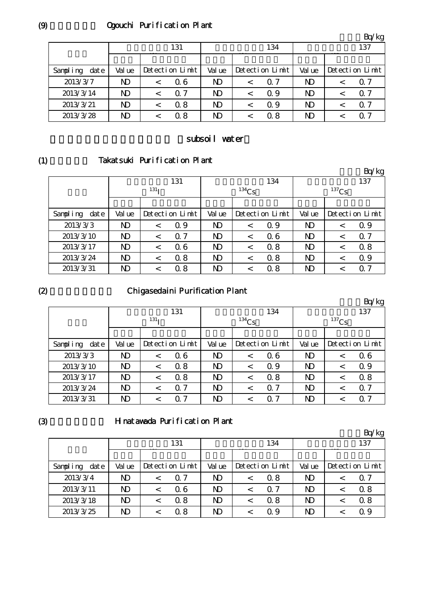# Qeouchi Purification Plant

|                  |              |                 |              |         |                 |        | 'kg<br>Bq/      |
|------------------|--------------|-----------------|--------------|---------|-----------------|--------|-----------------|
|                  |              | 131             |              |         | 134             |        | 137             |
|                  |              |                 |              |         |                 |        |                 |
| Sampling<br>date | Val ue       | Detection Limit | Val ue       |         | Detection Limit | Val ue | Detection Limit |
| 2013/3/7         | $\mathbf{D}$ | Q 6             | $\mathbf{D}$ | $\,<\,$ | $\Omega$ 7      | ND     | Q 7             |
| 2013/3/14        | $\mathbf N$  | $\Omega$ 7      | ND.          | <       | 0.9             | ND     | Q 7             |
| 2013/3/21        | $\mathbf N$  | 0.8             | ND.          |         | Q 9             | ND     | $\Omega$ 7      |
| 2013/3/28        | ND           | 0.8             | N)           |         | 0.8             | ND     | $\Omega$ 7      |

## subsoil water

(1)

# Takatsuki Purification Plant

|                  |        |                  |                 |                |          |                 |                         |   | Bq/kg           |
|------------------|--------|------------------|-----------------|----------------|----------|-----------------|-------------------------|---|-----------------|
|                  |        |                  | 131             |                |          | 134             |                         |   | 137             |
|                  |        | 131 <sub>T</sub> |                 |                | $134$ Cs |                 | $137$ Cs                |   |                 |
|                  |        |                  |                 |                |          |                 |                         |   |                 |
| Sampling<br>date | Val ue |                  | Detection Limit | Val ue         |          | Detection Limit | Val ue                  |   | Detection Limit |
| 2013/3/3         | ND     | $\,<\,$          | $\Omega$ 9      | ND             | $\,<\,$  | Q 9             | ND                      | < | 0.9             |
| 2013/3/10        | ND     |                  | $\alpha$ 7      | N <sub>D</sub> | $\,<\,$  | 06              | $\mathbf{D}$            |   | $\alpha$ 7      |
| 2013/3/17        | ND     | $\,<\,$          | 06              | ND             | $\,<\,$  | 0.8             | $\mathbf{D}$            |   | 08              |
| 2013/3/24        | ND     | $\,<\,$          | 0.8             | ND             | $\,<\,$  | 0.8             | ND                      |   | 0.9             |
| 2013/3/31        | ND     |                  | 0.8             | ND             | <        | 0.8             | $\overline{\mathbf{D}}$ |   | O 7             |

## $(2)$

# Chigasedaini Purification Plant

|                  |                |                  |                 |                         |          |                 |                |          | Bq/kg           |
|------------------|----------------|------------------|-----------------|-------------------------|----------|-----------------|----------------|----------|-----------------|
|                  |                |                  | 131             |                         |          | 134             |                |          | 137             |
|                  |                | 131 <sub>T</sub> |                 |                         | $134$ Cs |                 |                | $137$ Cs |                 |
|                  |                |                  |                 |                         |          |                 |                |          |                 |
| Sampling<br>date | Val ue         |                  | Detection Limit | Val ue                  |          | Detection Limit | Val ue         |          | Detection Limit |
| 2013/3/3         | N <sub>D</sub> | $\,<\,$          | 06              | $\overline{\mathsf{D}}$ | $\,<\,$  | 06              | N <sub>D</sub> |          | 06              |
| 2013/3/10        | N <sub>D</sub> | $\,<\,$          | 0.8             | N <sub>D</sub>          | $\,<\,$  | $\Omega$ 9      | $\mathbf{D}$   |          | Q 9             |
| 2013/3/17        | $\mathbf N$    | $\,<\,$          | 0.8             | N <sub>D</sub>          | $\,<\,$  | 0.8             | $\mathbf{D}$   |          | 0.8             |
| 2013/3/24        | N <sub>D</sub> | $\,<\,$          | 0.7             | N <sub>D</sub>          | $\,<\,$  | Q 7             | N <sub>D</sub> | $\,<\,$  | $\alpha$ 7      |
| 2013/3/31        | ND             | $\,<\,$          | 7<br>0          | ND                      |          | ∩ 7             | $\mathbf{D}$   |          | 0.7             |

# (3)

## Hinatawada Purification Plant

|                  |        |         |                 |                |                 |                | Bq/kg           |
|------------------|--------|---------|-----------------|----------------|-----------------|----------------|-----------------|
|                  |        |         | 131             |                | 134             |                | 137             |
|                  |        |         |                 |                |                 |                |                 |
| date<br>Sampling | Val ue |         | Detection Limit | Val ue         | Detection Limit | Val ue         | Detection Limit |
| 2013/3/4         | ND     | $\,<\,$ | Q 7             | $\mathbf{D}$   | 0.8             | N <sub>D</sub> | Q 7             |
| 2013/3/11        | ND     |         | 06              | N <sub>D</sub> | 0.7             | $\mathbf{D}$   | $\Omega$ 8      |
| 2013/3/18        | ND     | $\,<\,$ | 0.8             | $\mathbf{D}$   | 08              | N <sub>D</sub> | 0.8             |
| 2013/3/25        | ND     |         | 0.8             | N)             | Q 9             | $\mathbf N$    | Q 9             |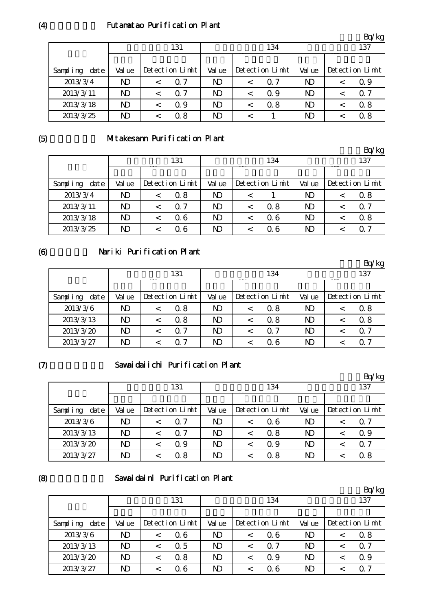### Futamatao Purification Plant

|                  |                |  |                 |        |         |                 |              |  | Bq/kg           |
|------------------|----------------|--|-----------------|--------|---------|-----------------|--------------|--|-----------------|
|                  | 131            |  |                 | 134    |         |                 | 137          |  |                 |
|                  |                |  |                 |        |         |                 |              |  |                 |
| Sampling<br>date | Val ue         |  | Detection Limit | Val ue |         | Detection Limit | Val ue       |  | Detection Limit |
| 2013/3/4         | $\mathbf{D}$   |  | 0. 7            | ND     |         | $\Omega$ 7      | $\mathbf N$  |  | Q 9             |
| 2013/3/11        | N <sub>D</sub> |  | Q 7             | ND.    | $\,<\,$ | Q 9             | ND.          |  | $\alpha$ 7      |
| 2013/3/18        | $\mathbf N$    |  | Q 9             | ND     |         | 0.8             | N)           |  | 0.8             |
| 2013/3/25        | $\mathbf{D}$   |  | 0.8             | ND     |         |                 | $\mathbf{D}$ |  | 0.8             |

(5)

# Mitakesann Purification Plant

|                   |                |  |                 |        |         |                 |              |  | Bq/kg           |
|-------------------|----------------|--|-----------------|--------|---------|-----------------|--------------|--|-----------------|
|                   | 131            |  |                 | 134    |         |                 | 137          |  |                 |
|                   |                |  |                 |        |         |                 |              |  |                 |
| Sampling<br>dat e | Val ue         |  | Detection Limit | Val ue |         | Detection Limit | Val ue       |  | Detection Limit |
| 2013/3/4          | $\mathbf{D}$   |  | 0.8             | ND     | $\,<\,$ |                 | $\mathbf{D}$ |  | 0.8             |
| 2013/3/11         | N <sub>D</sub> |  | $\alpha$ 7      | ND     | $\,<\,$ | 0.8             | ND.          |  | $\Omega$ 7      |
| 2013/3/18         | $\mathbf N$    |  | 06              | ND     |         | 06              | $\mathbf{D}$ |  | 0.8             |
| 2013/3/25         | $\mathbf N$    |  | Q 6             | ND     |         | Q 6             | ND.          |  | $\Omega$ 7      |

(6)

# Nariki Purification Plant

|                  |                |  |                 |        |         |                 |                |  | Bq/kg           |
|------------------|----------------|--|-----------------|--------|---------|-----------------|----------------|--|-----------------|
|                  | 131            |  |                 | 134    |         |                 | 137            |  |                 |
|                  |                |  |                 |        |         |                 |                |  |                 |
| Sampling<br>date | Val ue         |  | Detection Limit | Val ue |         | Detection Limit | Val ue         |  | Detection Limit |
| 2013/3/6         | ND             |  | 0.8             | ND     | $\,<\,$ | 0.8             | N <sub>D</sub> |  | 0.8             |
| 2013/3/13        | N <sub>D</sub> |  | 0.8             | ND     | $\,<\,$ | 0.8             | N <sub>D</sub> |  | 0.8             |
| 2013/3/20        | N <sub>D</sub> |  | $\Omega$ 7      | ND.    | $\,<\,$ | $\Omega$ 7      | ND.            |  | $\Omega$ 7      |
| 2013/3/27        | ND             |  | 0. Z            | N)     | <       | Q 6             | ND.            |  | O 7             |

(7)

## Sawaidaiichi Purification Plant

|                      |        |  |                 |                |   |                 |              |  | Bq/kg           |
|----------------------|--------|--|-----------------|----------------|---|-----------------|--------------|--|-----------------|
|                      | 131    |  |                 | 134            |   |                 | 137          |  |                 |
|                      |        |  |                 |                |   |                 |              |  |                 |
| Sampling<br>$\det e$ | Val ue |  | Detection Limit | Val ue         |   | Detection Limit | Val ue       |  | Detection Limit |
| 2013/3/6             | ND     |  | $\Omega$ 7      | ND             |   | Q 6             | ND.          |  | Q 7             |
| 2013/3/13            | ND     |  | $\Omega$ 7      | N <sub>D</sub> | < | 0.8             | $\mathbf{D}$ |  | 0.9             |
| 2013/3/20            | ND     |  | Q 9             | ND.            | < | 0.9             | ND.          |  | $\Omega$ 7      |
| 2013/3/27            | ND     |  | 0.8             | ND             |   | 0.8             | ND.          |  | 0.8             |

(8)

## Sawaidaini Purification Plant

|                  |        |         |                 |        |         |                 |              |  | Bq/kg           |
|------------------|--------|---------|-----------------|--------|---------|-----------------|--------------|--|-----------------|
|                  | 131    |         |                 | 134    |         |                 | 137          |  |                 |
|                  |        |         |                 |        |         |                 |              |  |                 |
| Sampling<br>date | Val ue |         | Detection Limit | Val ue |         | Detection Limit | Val ue       |  | Detection Limit |
| 2013/3/6         | ND     | $\,<\,$ | $\alpha$ 6      | ND     | $\,<\,$ | Q 6             | $\mathbf{D}$ |  | 0.8             |
| 2013/3/13        | N)     | $\,<\,$ | 0.5             | ND     | $\,<\,$ | $\Omega$ 7      | ND.          |  | $\Omega$ 7      |
| 2013/3/20        | N)     | $\,<\,$ | 0.8             | ND     |         | Q 9             | $\mathbf{D}$ |  | $\Omega$ 9      |
| 2013/3/27        | ND     |         | 06              | ND     |         | Q 6             | $\mathbf{D}$ |  | $\alpha$ 7      |

(4)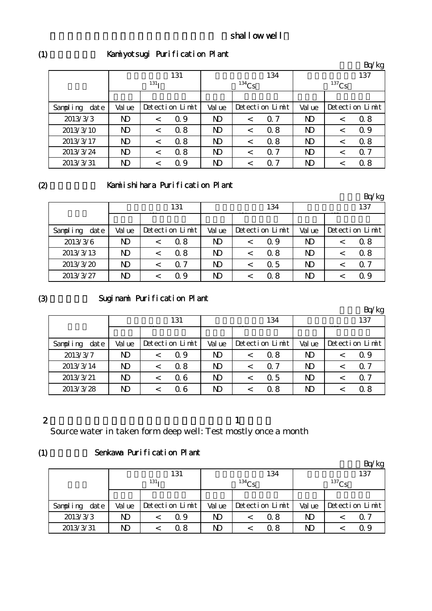# Kamiyotsugi Purification Plant

|                  |                  |         |                 |              |          |                 |                |          | Bq/kg           |  |
|------------------|------------------|---------|-----------------|--------------|----------|-----------------|----------------|----------|-----------------|--|
|                  |                  |         | 131             |              |          | 134             |                |          | 137             |  |
|                  | 131 <sub>T</sub> |         |                 |              | $134$ Cs |                 |                | $137$ Cs |                 |  |
|                  |                  |         |                 |              |          |                 |                |          |                 |  |
| Sampling<br>date | Val ue           |         | Detection Limit | Val ue       |          | Detection Limit | Val ue         |          | Detection Limit |  |
| 2013/3/3         | ND               | $\,<\,$ | 0.9             | ND           | $\,<\,$  | $\Omega$ 7      | N)             |          | 08              |  |
| 2013/3/10        | ND               | $\,<\,$ | 0.8             | ND           | $\,<\,$  | 0.8             | $\mathbf{D}$   |          | $\Omega$ 9      |  |
| 2013/3/17        | ND               | $\,<\,$ | 0.8             | $\mathbf{D}$ | $\,<\,$  | 0.8             | $\mathbf{D}$   |          | 08              |  |
| 2013/3/24        | N <sub>D</sub>   | $\,<\,$ | 0.8             | $\mathbf{D}$ | $\,<\,$  | $\Omega$ 7      | N <sub>D</sub> | <        | $\Omega$ 7      |  |
| 2013/3/31        | ND               |         | 0.9             | ND           |          | 0. 7            | $\mathbf{D}$   |          | 0.8             |  |

 $(2)$ 

## Kamiishihara Purification Plant

|                  |        |  |                 |                |   |                 |             |  | Bq/kg           |
|------------------|--------|--|-----------------|----------------|---|-----------------|-------------|--|-----------------|
|                  | 131    |  |                 | 134            |   |                 | 137         |  |                 |
|                  |        |  |                 |                |   |                 |             |  |                 |
| Sampling<br>date | Val ue |  | Detection Limit | Val ue         |   | Detection Limit | Val ue      |  | Detection Limit |
| 2013/3/6         | ND     |  | 0.8             | N <sub>D</sub> |   | Q 9             | ND          |  | 0.8             |
| 2013/3/13        | ND     |  | 0.8             | N <sub>D</sub> |   | 0.8             | $\mathbf N$ |  | 0.8             |
| 2013/3/20        | ND     |  | $\alpha$ 7      | ND.            | < | $\alpha$ 5      | ND.         |  | 0.7             |
| 2013/3/27        | ND     |  | Q 9             | ND             |   | 0.8             | ND          |  | Q 9             |

(3)

# Suginami Purification Plant

|                  |                |  |                 |                |  |                 |                |  | Bq/kg           |
|------------------|----------------|--|-----------------|----------------|--|-----------------|----------------|--|-----------------|
|                  | 131            |  |                 | 134            |  |                 | 137            |  |                 |
|                  |                |  |                 |                |  |                 |                |  |                 |
| Sampling<br>date | Val ue         |  | Detection Limit | Val ue         |  | Detection Limit | Val ue         |  | Detection Limit |
| 2013/3/7         | ND             |  | Q 9             | ND             |  | 0.8             | ND             |  | Q 9             |
| 2013/3/14        | N <sub>D</sub> |  | 0.8             | ND             |  | 07              | ND             |  | Q 7             |
| 2013/3/21        | N)             |  | 06              | N <sub>D</sub> |  | 0.5             | N <sub>D</sub> |  | Q 7             |
| 2013/3/28        | ND             |  | 06              | ND             |  | 0.8             | ND             |  | 0.8             |

# 2

 $\mathbf 1$ 

Source water in taken form deep well: Test mostly once a month

#### (1) Senkawa Purification Plant

|               |        |                  |                 |        |          |                 |        |          | Bq/kg           |
|---------------|--------|------------------|-----------------|--------|----------|-----------------|--------|----------|-----------------|
|               |        |                  | 131             |        |          | 134             |        |          | 137             |
|               |        | 131 <sub>T</sub> |                 |        | $134$ Cs |                 |        | $137$ Cs |                 |
|               |        |                  |                 |        |          |                 |        |          |                 |
| Sampling date | Val ue |                  | Detection Limit | Val ue |          | Detection Limit | Val ue |          | Detection Limit |
| 2013/3/3      | ND     |                  | Q 9             | ND     |          | 0.8             | ND     |          | Q 7             |
| 2013/3/31     | ND     |                  | 0 8             | ND     |          | 0.8             | ND     |          | Q 9             |

(1)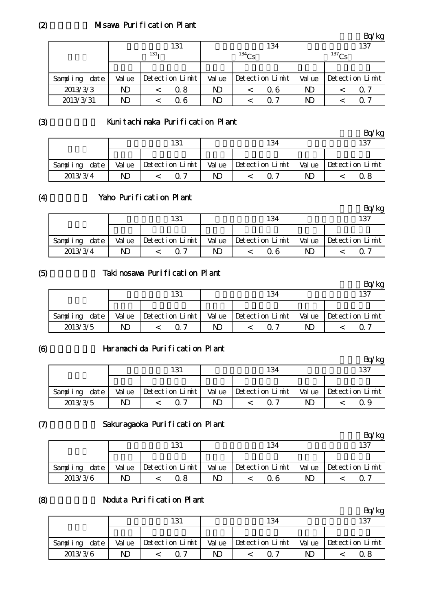## Misawa Purification Plant

|               | 131              |  |                      |            |  | 134             | 137         |  |                 |
|---------------|------------------|--|----------------------|------------|--|-----------------|-------------|--|-----------------|
|               | 131 <sub>1</sub> |  |                      | $^{134}Cs$ |  |                 | $^{137}$ Cs |  |                 |
|               |                  |  |                      |            |  |                 |             |  |                 |
| Sampling date | Val ue           |  | $Detecti$ on $Limit$ | Val ue     |  | Detection Limit | Val ue      |  | Detection Limit |
| 2013/3/3      | ND               |  | 0.8                  | ND         |  | 06              | ND          |  | $\Omega$ 7      |
| 2013/3/31     | ND               |  | Q 6                  | ND         |  | ი 7             | ND          |  | റ 1             |

単位:Bq/kg

(3)

#### Kunitachinaka Purification Plant

|               |        | 131             |        | 134               |        | 137             |
|---------------|--------|-----------------|--------|-------------------|--------|-----------------|
|               |        |                 |        |                   |        |                 |
| Sampling date | Val ue | Detection Limit | Val ue | $Detection$ Limit | Val ue | Detection Limit |
| 2013/3/4      | ND     |                 | ND     | $\Omega$ 7        | ND     | 0 8             |

## (4)

# Yaho Purification Plant

|               |        |                                    |    |                         |    | 'kg                   |
|---------------|--------|------------------------------------|----|-------------------------|----|-----------------------|
|               |        | 131                                |    | 134                     |    | 137                   |
|               |        |                                    |    |                         |    |                       |
| Sampling date | Val ue | $ \text{Detection } \text{Limit} $ |    | Value Detection $Limit$ |    | Value Detection Limit |
| 2013/3/4      | ND     | 0. 7                               | ND | Q 6                     | ND | O 7                   |

#### (5)

# Takinosawa Purification Plant

|                  |        | 131                     |    | 134                           |        | 137             |
|------------------|--------|-------------------------|----|-------------------------------|--------|-----------------|
|                  |        |                         |    |                               |        |                 |
| date<br>Sampling | Val ue | $\vert$ Detection Limit |    | Value $\vert$ Detection Limit | Val ue | Detection Limit |
| 2013/3/5         | ND.    | 07                      | ND | $\Omega$ 7                    | ND     |                 |

#### (6)

### Haramachida Purification Plant

|                   |        | 131                      |        | 134             |    | 137                   |
|-------------------|--------|--------------------------|--------|-----------------|----|-----------------------|
|                   |        |                          |        |                 |    |                       |
| datel<br>Sampling | Val ue | $\Delta$ Detection Limit | Val ue | Detection Limit |    | Value Detection Limit |
| 2013/3/5          | ND     | $\Omega$ 7               | ND     |                 | ND |                       |

#### (7)

(8)

#### Sakuragaoka Purification Plant

|               |    | 131                     |    | 134                     |                       | 137                            |
|---------------|----|-------------------------|----|-------------------------|-----------------------|--------------------------------|
|               |    |                         |    |                         |                       |                                |
| Sampling date |    | Value   Detection Limit |    | $Value$ Detection Limit |                       | Value $\Delta$ betection Limit |
| 2013/3/6      | ND | Q 8                     | ND | ი ჩ                     | $\overline{\text{D}}$ | Q 7                            |

#### Noduta Purification Plant

|               |        |                          |    |                       |    | $\log$                |
|---------------|--------|--------------------------|----|-----------------------|----|-----------------------|
|               |        | 131                      |    | 134                   |    | 137                   |
|               |        |                          |    |                       |    |                       |
| Sampling date | Val ue | $\Delta$ Detection Limit |    | Value Detection Limit |    | Value Detection Limit |
| 2013/3/6      | ND     | $\Omega$ 7               | ND | ∩ 7                   | ND |                       |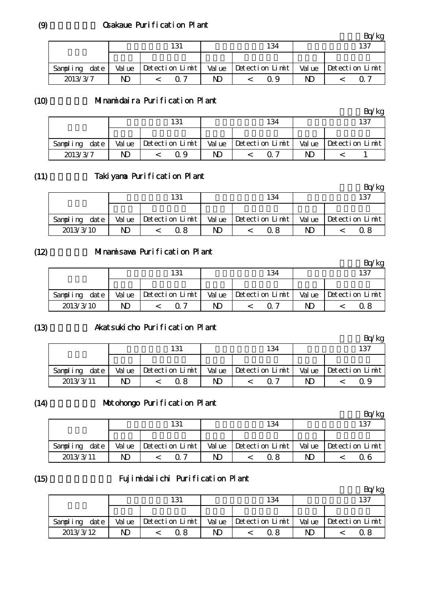# Osakaue Purification Plant

|                  |        | 131                  |        | 134                  |    | 137                            |
|------------------|--------|----------------------|--------|----------------------|----|--------------------------------|
|                  |        |                      |        |                      |    |                                |
| date<br>Sampling | Val ue | $Detecti$ on $Limit$ | Val ue | $Detecti$ on $Limit$ |    | Value $\Delta$ betection Limit |
| 2013/3/7         | ND     | 0. 7                 | ND.    | ი 9                  | ND | $\Omega$ $\sim$                |

### (10)

#### Minamidaira Purification Plant

|                  |                         | 131               |        | 134             |                       | 137                     |
|------------------|-------------------------|-------------------|--------|-----------------|-----------------------|-------------------------|
|                  |                         |                   |        |                 |                       |                         |
| date<br>Sampling | Val ue                  | $Detection$ Limit | Val ue | Detection Limit |                       | Value   Detection Limit |
| 2013/3/7         | $\overline{\mathbf{D}}$ | Q 9               | ND     | ∩ 7             | $\overline{\text{D}}$ |                         |

#### (11) Takiyama Purification Plant

|                  |    | 131                              |    | 134                   |    | 137                            |
|------------------|----|----------------------------------|----|-----------------------|----|--------------------------------|
|                  |    |                                  |    |                       |    |                                |
| date<br>Sampling |    | Value $ \text{Detection Limit} $ |    | Value Detection Limit |    | Value $\Delta$ betection Limit |
| 2013/3/10        | ND | Q 8                              | ND | ი  გ                  | ND | በ ጸ                            |

#### (12) Minamisawa Purification Plant

|               |    |                         |    |                       |    | $k$ g                          |
|---------------|----|-------------------------|----|-----------------------|----|--------------------------------|
|               |    | 131                     |    | 134                   |    | 137                            |
|               |    |                         |    |                       |    |                                |
| Sampling date |    | $Value$ Detection Limit |    | Value Detection Limit |    | Value $\Delta$ betection Limit |
| 2013/3/10     | ND | ብ ግ                     | N) |                       | ND | 0 8                            |

#### (13) Akatsukicho Purification Plant

|               |        | 131             |    | 134                           |    | 137                   |
|---------------|--------|-----------------|----|-------------------------------|----|-----------------------|
|               |        |                 |    |                               |    |                       |
| Sampling date | Val ue | Detection Limit |    | Value $\vert$ Detection Limit |    | Value Detection Limit |
| 2013/3/11     |        | Ω8              | ND |                               | ND | 0.9                   |

#### $(14)$ Motohongo Purification Plant

|               |        |                 |        |                 |        | ΄kg             |
|---------------|--------|-----------------|--------|-----------------|--------|-----------------|
|               |        | 131             |        | 134             |        | 137             |
|               |        |                 |        |                 |        |                 |
| Sampling date | Val ue | Detection Limit | Val ue | Detection Limit | Val ue | Detection Limit |
| 2013/3/11     | ND     |                 | ND     | 0.8             | ND     | 06              |

#### (15)

# Fujimidaiichi Purification Plant

|               |        | 131             |    | 134                   |                       | 137                   |
|---------------|--------|-----------------|----|-----------------------|-----------------------|-----------------------|
|               |        |                 |    |                       |                       |                       |
| Sampling date | Val ue | Detection Limit |    | Value Detection Limit |                       | Value Detection Limit |
| 2013/3/12     |        | Ω8              | ND | 0 8                   | $\overline{\text{D}}$ | Ω8                    |

(9)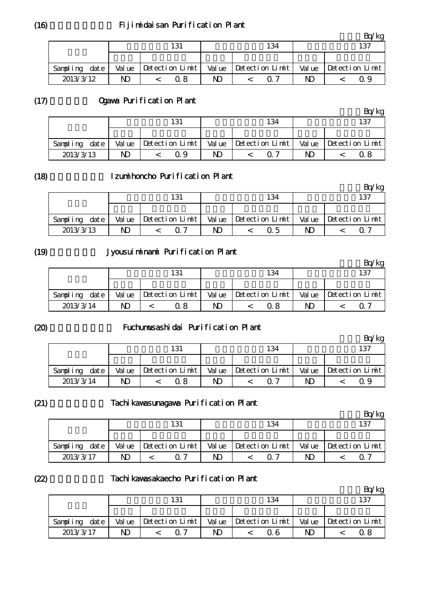# Fijimidaisan Purification Plant

|                  |        | 131                            |        | 134             |        | 137             |
|------------------|--------|--------------------------------|--------|-----------------|--------|-----------------|
|                  |        |                                |        |                 |        |                 |
| date<br>Sampling | Val ue | $\blacksquare$ Detection Limit | Val ue | Detection Limit | Val ue | Detection Limit |
| 2013/3/12        | ND     | 0 8                            | ND     | $\cap$ 7        | ND     |                 |

#### $(17)$ Ogawa Purification Plant

|               | 131    |                 | 134    |                 | 137                     |                 |
|---------------|--------|-----------------|--------|-----------------|-------------------------|-----------------|
|               |        |                 |        |                 |                         |                 |
| Sampling date | Val ue | Detection Limit | Val ue | Detection Limit | Val ue                  | Detection Limit |
| 2013/3/13     | ND     | Q 9             | ND     | $\Omega$ 7      | $\overline{\mathsf{D}}$ | 0 8             |

#### (18)

## Izumihoncho Purification Plant

|                  |        | 131             |        | 134             |        | 137             |
|------------------|--------|-----------------|--------|-----------------|--------|-----------------|
|                  |        |                 |        |                 |        |                 |
| date<br>Sampling | Val ue | Detection Limit | Val ue | Detection Limit | Val ue | Detection Limit |
| 2013/3/13        | ND     | 7               | ND     | ი 5             | N)     |                 |

## (19)

## Jyousuiminami Purification Plant

|                      |        | 131                            |        | 134             |    | 137                   |
|----------------------|--------|--------------------------------|--------|-----------------|----|-----------------------|
|                      |        |                                |        |                 |    |                       |
| $\det e$<br>Sampling | Val ue | $\blacksquare$ Detection Limit | Val ue | Detection Limit |    | Value Detection Limit |
| 2013/3/14            | ND     | 18                             | ND     | 0.8             | ND |                       |

(20)

#### Fuchumusashidai Purification Plant

|               | 131    |                          |        | 134             | 137    |                 |  |
|---------------|--------|--------------------------|--------|-----------------|--------|-----------------|--|
|               |        |                          |        |                 |        |                 |  |
| Sampling date | Val ue | $\Delta$ Detection Limit | Val ue | Detection Limit | Val ue | Detection Limit |  |
| 2013/3/14     | ND     | 0 8                      | ND     |                 | ND     |                 |  |

(21)

## Tachikawasunagawa Purification Plant

|               |        | 131                      |    | 134                   |    | 137                            |
|---------------|--------|--------------------------|----|-----------------------|----|--------------------------------|
|               |        |                          |    |                       |    |                                |
| Sampling date | Val ue | $\Delta$ Detection Limit |    | Value Detection Limit |    | Value $\Delta$ betection Limit |
| 2013/3/17     | ND     |                          | ND | $\Omega$ 7            | ND |                                |

(22)

#### Tachikawasakaecho Purification Plant

|                   | 131                     |        | 134             |        | 137             |
|-------------------|-------------------------|--------|-----------------|--------|-----------------|
|                   |                         |        |                 |        |                 |
| dat e<br>Sampling | $Value$ Detection Limit | Val ue | Detection Limit | Val ue | Detection Limit |
| 2013/3/17         | ∩ 7                     | ND     | ດ 6             | ND     | 0 8             |

(16)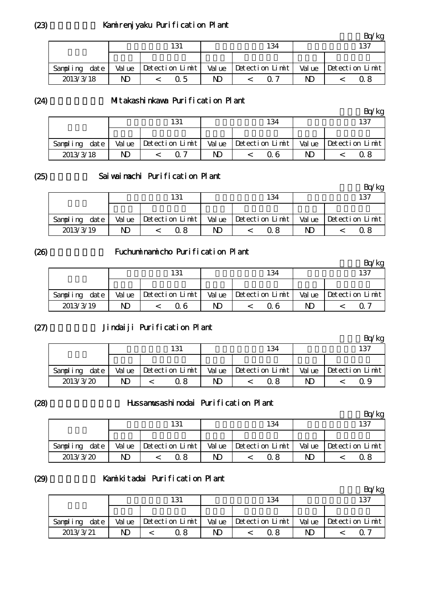## Kamirenjyaku Purification Plant

|                   | 131    |                          | 134    |                                | 137 |                       |
|-------------------|--------|--------------------------|--------|--------------------------------|-----|-----------------------|
|                   |        |                          |        |                                |     |                       |
| date.<br>Sampling | Val ue | $\Delta$ Detection Limit | Val ue | $\blacksquare$ Detection Limit |     | Value Detection Limit |
| 2013/3/18         | ND     | Q 5                      | ND     |                                | ND  |                       |

(24)

#### Mitakashinkawa Purification Plant

|                  |        |                   |        |                      |    | Pa∕k                  |
|------------------|--------|-------------------|--------|----------------------|----|-----------------------|
|                  |        | 131               |        | 134                  |    | 137                   |
|                  |        |                   |        |                      |    |                       |
| date<br>Sampling | Val ue | $Detection$ Limit | Val ue | $Detecti$ on $Limit$ |    | Value Detection Limit |
| 2013/3/18        | ND     | 07                | ND     | 0 6                  | ND | ი  გ                  |

(25)

### Saiwaimachi Purification Plant

|           |      |        | 131             |        | 134             |        | 137             |
|-----------|------|--------|-----------------|--------|-----------------|--------|-----------------|
|           |      |        |                 |        |                 |        |                 |
| Sampling  | date | Val ue | Detection Limit | Val ue | Detection Limit | Val ue | Detection Limit |
| 2013/3/19 |      | ND     | 0. 8            | ND     | 0.8             | ND     | በ ጸ             |

#### (26)

## Fuchuminamicho Purification Plant

|                  |        | 131             |        | 134             |        | 137             |
|------------------|--------|-----------------|--------|-----------------|--------|-----------------|
|                  |        |                 |        |                 |        |                 |
| date<br>Sampling | Val ue | Detection Limit | Val ue | Detection Limit | Val ue | Detection Limit |
| 2013/3/19        | ND     | ი 6             | ND     | า ค             | ND     |                 |

(27)

# Jindaiji Purification Plant

|               |        |                                                |        |                 |        | 'kg             |
|---------------|--------|------------------------------------------------|--------|-----------------|--------|-----------------|
|               | 131    |                                                | 134    |                 | 137    |                 |
|               |        |                                                |        |                 |        |                 |
| Sampling date | Val ue | $ \text{Detection}$ Limit $ \text{Out}\rangle$ | Val ue | Detection Limit | Val ue | Detection Limit |
| 2013/3/20     | ND     | Q 8                                            | ND     |                 | ND     | ი 9             |

(28)

#### Hussamusashinodai Purification Plant

|               |        | 131             |        | 134             |        | 137             |
|---------------|--------|-----------------|--------|-----------------|--------|-----------------|
|               |        |                 |        |                 |        |                 |
| Sampling date | Val ue | Detection Limit | Val ue | Detection Limit | Val ue | Detection Limit |
| 2013/3/20     | ND.    | Q 8             | ND     | 0.8             | ND     |                 |

(29)

#### Kamikitadai Purification Plant

|                  |        | 131                      |  | 134                           | 137                   |                       |  |
|------------------|--------|--------------------------|--|-------------------------------|-----------------------|-----------------------|--|
|                  |        |                          |  |                               |                       |                       |  |
| date<br>Sampling | Val ue | $\Delta$ Detection Limit |  | Value $\vert$ Detection Limit |                       | Value Detection Limit |  |
| 2013/3/21        | ND     | 38                       |  |                               | $\overline{\text{D}}$ |                       |  |

(23)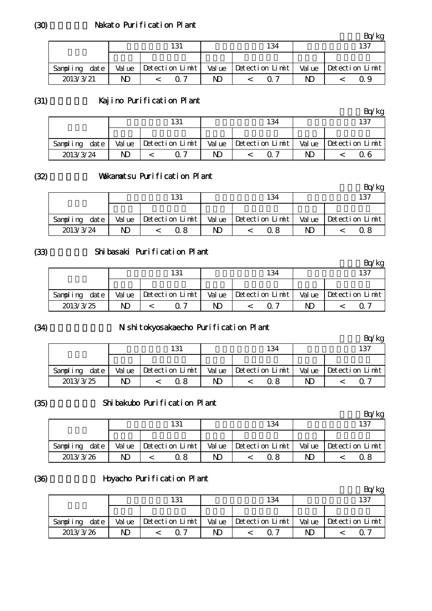# Nakato Purification Plant

|                  |        | 131               |        | 134             |        | 137             |
|------------------|--------|-------------------|--------|-----------------|--------|-----------------|
|                  |        |                   |        |                 |        |                 |
| date<br>Sampling | Val ue | $Detection$ Limit | Val ue | Detection Limit | Val ue | Detection Limit |
| 2013/3/21        | ND     | $\Omega$ 7        | ND     | $\Omega$ $\tau$ | ND     | ი 9             |

(31)

## Kajino Purification Plant

|                      |        | 131                  |        | 134             | 137    |                 |  |
|----------------------|--------|----------------------|--------|-----------------|--------|-----------------|--|
|                      |        |                      |        |                 |        |                 |  |
| $\det e$<br>Sampling | Val ue | $Detecti$ on $Limit$ | Val ue | Detection Limit | Val ue | Detection Limit |  |
| 2013/3/24            | ND     | 0. 7                 | ND     | ∩ 7             | ND     | ი 6             |  |

(32)

### Vakanatsu Purification Plant

|           |      |            |  | 131                      |        |     | 134                  |  |  | 137                   |
|-----------|------|------------|--|--------------------------|--------|-----|----------------------|--|--|-----------------------|
|           |      |            |  |                          |        |     |                      |  |  |                       |
| Sampling  | date | Val ue     |  | $\Delta$ Detection Limit | Val ue |     | $Detecti$ on $Limit$ |  |  | Value Detection Limit |
| 2013/3/24 |      | ND.<br>Q 8 |  | ND                       |        | 0 8 | ND                   |  |  |                       |

#### (33)

# Shibasaki Purification Plant

|                      |        |                      |        |                 |        | ′kg             |
|----------------------|--------|----------------------|--------|-----------------|--------|-----------------|
|                      |        | 131                  |        | 134             |        | 137             |
|                      |        |                      |        |                 |        |                 |
| $\det e$<br>Sampling | Val ue | $Detecti$ on $Limit$ | Val ue | Detection Limit | Val ue | Detection Limit |
| 2013/3/25            | ND     | $\mathcal{L}$        | ND     | ∩ 7             | ND     |                 |

(34)

## N shitokyosakaecho Purification Plant

|                  |        | 131             |        | 134                  | 137    |                 |  |
|------------------|--------|-----------------|--------|----------------------|--------|-----------------|--|
|                  |        |                 |        |                      |        |                 |  |
| date<br>Sampling | Val ue | Detection Limit | Val ue | $Detecti$ on $Limit$ | Val ue | Detection Limit |  |
| 2013/3/25        | ND     | ጋ 8             | ND     |                      | ND     |                 |  |

(35)

### Shibakubo Purification Plant

|           |      |        |                   |    |  |                       |    |  | 'kg                   |
|-----------|------|--------|-------------------|----|--|-----------------------|----|--|-----------------------|
|           |      |        | 131               |    |  | 134                   |    |  | 137                   |
|           |      |        |                   |    |  |                       |    |  |                       |
| Sampling  | date | Val ue | $Petection$ Limit |    |  | Value Detection Limit |    |  | Value Detection Limit |
| 2013/3/26 |      | ND     | Q 8               | ND |  | 0 8                   | ND |  | Q 8                   |

#### (36)

# Hoyacho Purification Plant

|           |      |        | 131                      |    |  | 134                           |    |  | 137                   |
|-----------|------|--------|--------------------------|----|--|-------------------------------|----|--|-----------------------|
|           |      |        |                          |    |  |                               |    |  |                       |
| Sampling  | date | Val ue | $\Delta$ Detection Limit |    |  | Value $\vert$ Detection Limit |    |  | Value Detection Limit |
| 2013/3/26 |      | ND     | $\cap$ 7                 | ND |  |                               | ND |  |                       |

(30)